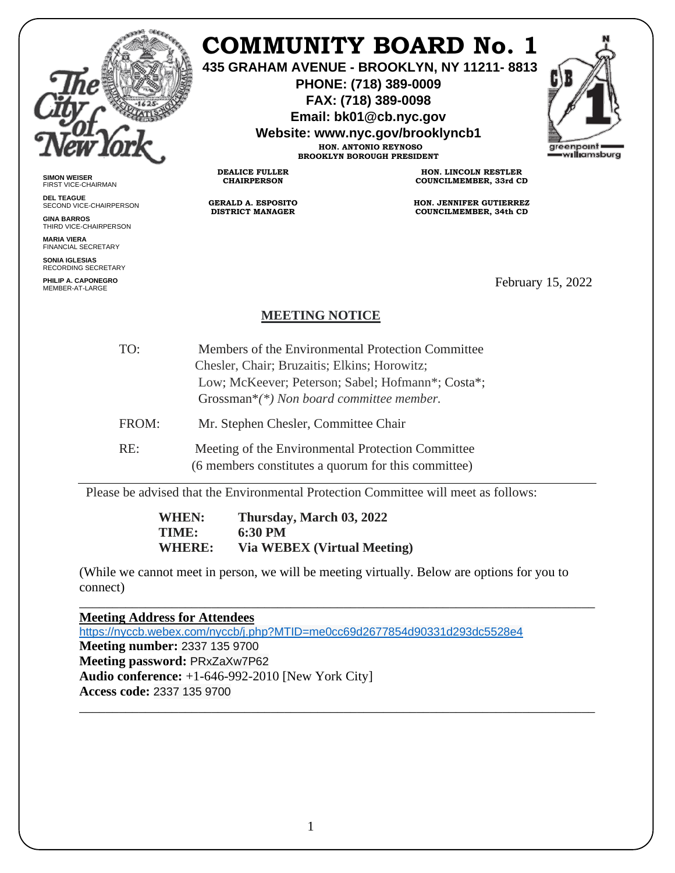

# **COMMUNITY BOARD No. 1**

**435 GRAHAM AVENUE - BROOKLYN, NY 11211- 8813**

**PHONE: (718) 389-0009 FAX: (718) 389-0098**

**Email: bk01@cb.nyc.gov**

**Website: www.nyc.gov/brooklyncb1**

**HON. ANTONIO REYNOSO BROOKLYN BOROUGH PRESIDENT**



**SIMON WEISER** FIRST VICE-CHAIRMAN

**DEL TEAGUE** SECOND VICE-CHAIRPERSON

**GINA BARROS** THIRD VICE-CHAIRPERSON

**MARIA VIERA** FINANCIAL SECRETARY

**SONIA IGLESIAS** RECORDING SECRETARY

**PHILIP A. CAPONEGRO**

**HON. LINCOLN RESTLER COUNCILMEMBER, 33rd CD**

**HON. JENNIFER GUTIERREZ COUNCILMEMBER, 34th CD**

February 15, 2022

### **MEETING NOTICE**

TO: Members of the Environmental Protection Committee Chesler, Chair; Bruzaitis; Elkins; Horowitz; Low; McKeever; Peterson; Sabel; Hofmann\*; Costa\*; Grossman\**(\*) Non board committee member.* FROM: Mr. Stephen Chesler, Committee Chair

**DEALICE FULLER CHAIRPERSON**

**GERALD A. ESPOSITO DISTRICT MANAGER**

RE: Meeting of the Environmental Protection Committee (6 members constitutes a quorum for this committee)

Please be advised that the Environmental Protection Committee will meet as follows:

**WHEN: Thursday, March 03, 2022 TIME: 6:30 PM WHERE: Via WEBEX (Virtual Meeting)** 

(While we cannot meet in person, we will be meeting virtually. Below are options for you to connect)

\_\_\_\_\_\_\_\_\_\_\_\_\_\_\_\_\_\_\_\_\_\_\_\_\_\_\_\_\_\_\_\_\_\_\_\_\_\_\_\_\_\_\_\_\_\_\_\_\_\_\_\_\_\_\_\_\_\_\_\_\_\_\_\_\_\_\_\_\_\_\_\_\_\_\_\_\_\_

\_\_\_\_\_\_\_\_\_\_\_\_\_\_\_\_\_\_\_\_\_\_\_\_\_\_\_\_\_\_\_\_\_\_\_\_\_\_\_\_\_\_\_\_\_\_\_\_\_\_\_\_\_\_\_\_\_\_\_\_\_\_\_\_\_\_\_\_\_\_\_\_\_\_\_\_\_\_ **Meeting Address for Attendees**  <https://nyccb.webex.com/nyccb/j.php?MTID=me0cc69d2677854d90331d293dc5528e4> **Meeting number:** 2337 135 9700 **Meeting password:** PRxZaXw7P62 **Audio conference:** +1-646-992-2010 [New York City] **Access code:** 2337 135 9700